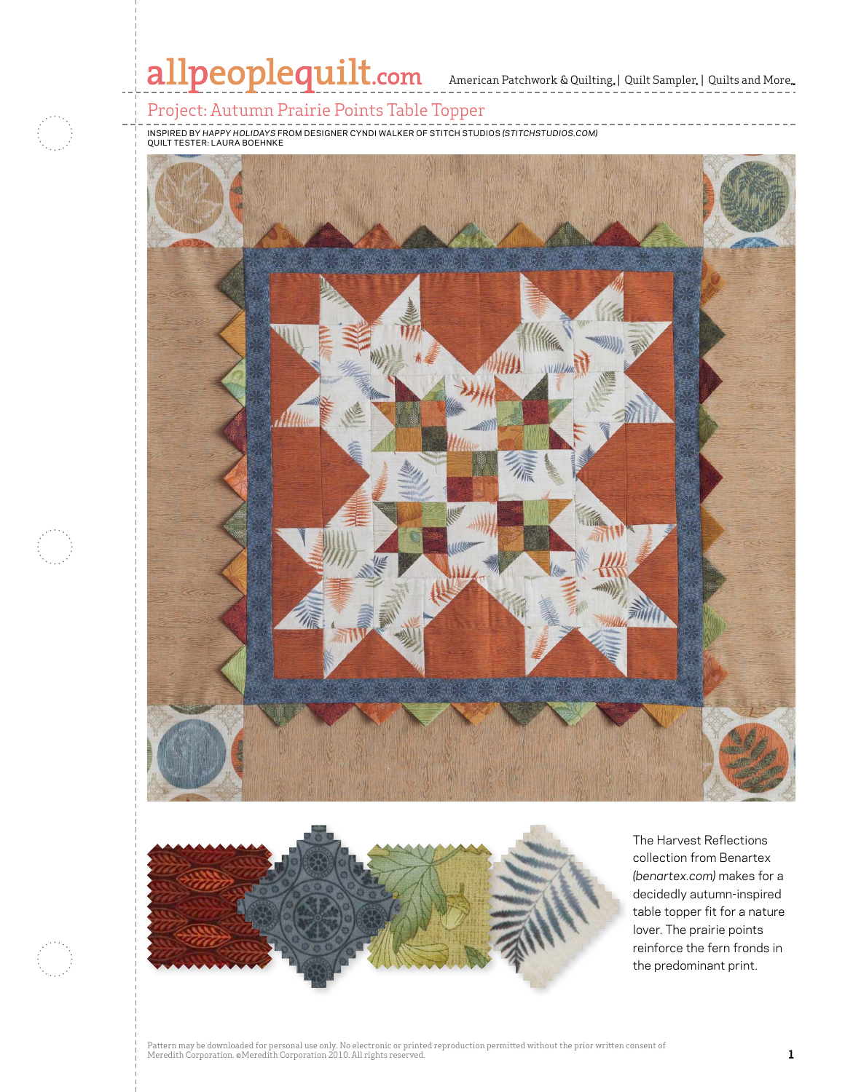# allpeoplequilt.com American Patchwork & Quilting, | Quilt Sampler, | Quilts and More..

## Project: Autumn Prairie Points Table Topper

inspired by *Happy holidays* From Designer Cyndi Walker of stitch studios *(stitchstudios.com)*  quilt Tester: Laura Boehnke





The Harvest Reflections collection from Benartex *(benartex.com)* makes for a decidedly autumn-inspired table topper fit for a nature lover. The prairie points reinforce the fern fronds in the predominant print.

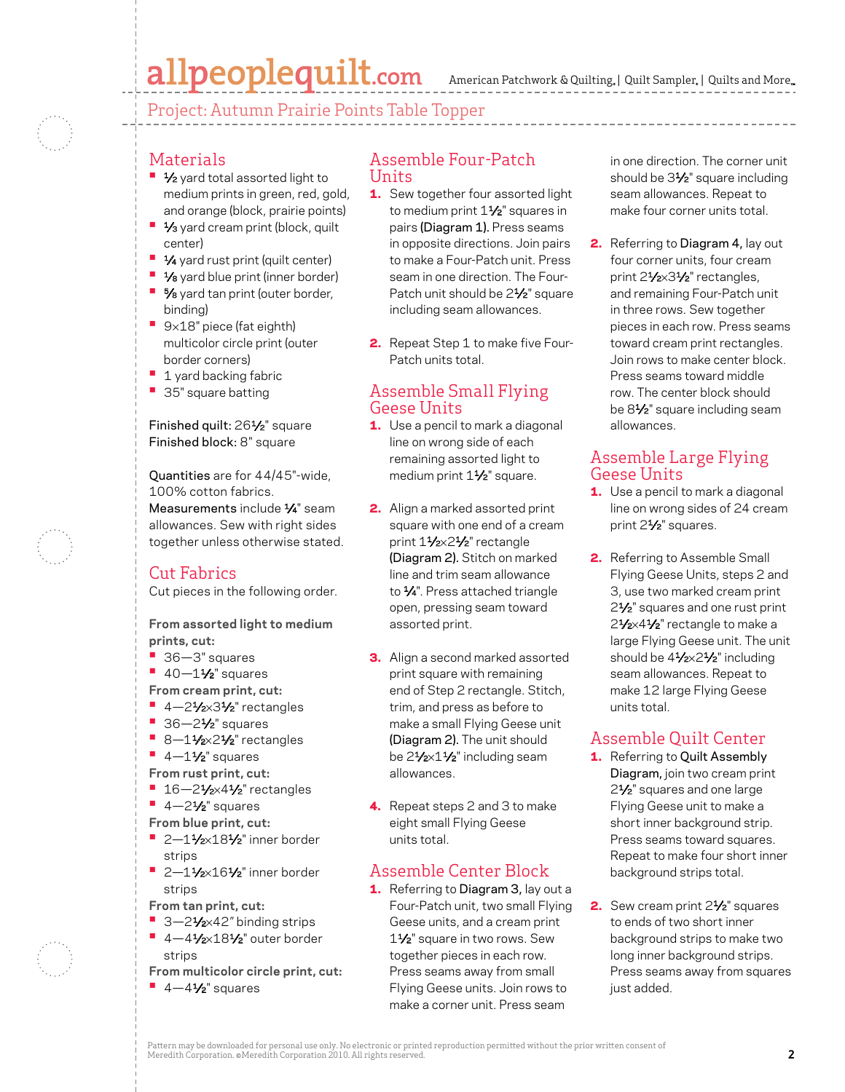# allpeoplequilt.com

Project: Autumn Prairie Points Table Topper

#### **Materials**

- **1/<sub>2</sub>** yard total assorted light to medium prints in green, red, gold, and orange (block, prairie points)
- **•** 1/<sub>3</sub> yard cream print (block, quilt center)
- **•** 1⁄4 yard rust print (quilt center)
- **•** 1⁄8 yard blue print (inner border)
- **•** 5⁄8 yard tan print (outer border,
- binding) **•**  <sup>9</sup>×18" piece (fat eighth) multicolor circle print (outer border corners)
- **1 yard backing fabric**
- **•**  35" square batting

#### Finished quilt: 261⁄2" square Finished block: 8" square

Quantities are for 44/45"-wide, 100% cotton fabrics. Measurements include 1/4" seam allowances. Sew with right sides together unless otherwise stated.

## Cut Fabrics

Cut pieces in the following order.

#### **From assorted light to medium prints, cut:**

- **•**  36—3" squares
- **•** 40-11⁄2" squares

**From cream print, cut:**

- **•**  4—21⁄2×31⁄2" rectangles
- 36-2<sup>1</sup>⁄<sub>2</sub>" squares
- **•** 8-11/2×21/2" rectangles
- **•** 4-11⁄2" squares
- **From rust print, cut:**
- **•** 16-21/<sub>2</sub>×41/<sub>2</sub>" rectangles
- **•** 4-2<sup>1</sup>/<sub>2</sub>" squares
- **From blue print, cut:**
- **2-11/2×181/2**" inner border strips
- **•**  2—11⁄2×161⁄2" inner border strips
- **From tan print, cut:**
- 3-21⁄<sub>2×42</sub>" binding strips
- **•** 4-41/2×181/2" outer border strips
- **From multicolor circle print, cut:**
- **•** 4-41⁄2" squares

#### Assemble Four-Patch Units

- 1. Sew together four assorted light to medium print 1<sup>1/2</sup> squares in pairs (Diagram 1). Press seams in opposite directions. Join pairs to make a Four-Patch unit. Press seam in one direction. The Four-Patch unit should be 2<sup>1/2</sup> square including seam allowances.
- **2.** Repeat Step 1 to make five Four-Patch units total.

#### Assemble Small Flying Geese Units

- **1.** Use a pencil to mark a diagonal line on wrong side of each remaining assorted light to medium print 11/2" square.
- 2. Align a marked assorted print square with one end of a cream print 11/2×21/2" rectangle (Diagram 2). Stitch on marked line and trim seam allowance to  $\frac{1}{4}$ ". Press attached triangle open, pressing seam toward assorted print.
- **3.** Align a second marked assorted print square with remaining end of Step 2 rectangle. Stitch, trim, and press as before to make a small Flying Geese unit (Diagram 2). The unit should be 21⁄2×11⁄2" including seam allowances.
- 4. Repeat steps 2 and 3 to make eight small Flying Geese units total.

## Assemble Center Block

1. Referring to Diagram 3, lay out a Four-Patch unit, two small Flying Geese units, and a cream print 11⁄2" square in two rows. Sew together pieces in each row. Press seams away from small Flying Geese units. Join rows to make a corner unit. Press seam

in one direction. The corner unit should be 3<sup>1/2"</sup> square including seam allowances. Repeat to make four corner units total.

**2.** Referring to Diagram 4, lay out four corner units, four cream print 21/2×31/2" rectangles. and remaining Four-Patch unit in three rows. Sew together pieces in each row. Press seams toward cream print rectangles. Join rows to make center block. Press seams toward middle row. The center block should be 81⁄2" square including seam allowances.

### Assemble Large Flying Geese Units

- **1.** Use a pencil to mark a diagonal line on wrong sides of 24 cream print 21⁄2" squares.
- **2.** Referring to Assemble Small Flying Geese Units, steps 2 and 3, use two marked cream print 2<sup>1</sup>/<sub>2</sub>" squares and one rust print 21/2×41/2" rectangle to make a large Flying Geese unit. The unit should be  $4\frac{1}{2} \times 2\frac{1}{2}$ " including seam allowances. Repeat to make 12 large Flying Geese units total.

## Assemble Quilt Center

- 1. Referring to Quilt Assembly Diagram, join two cream print 2<sup>1</sup>/<sub>2</sub>" squares and one large Flying Geese unit to make a short inner background strip. Press seams toward squares. Repeat to make four short inner background strips total.
- 2. Sew cream print 2<sup>1</sup>/<sub>2</sub>" squares to ends of two short inner background strips to make two long inner background strips. Press seams away from squares just added.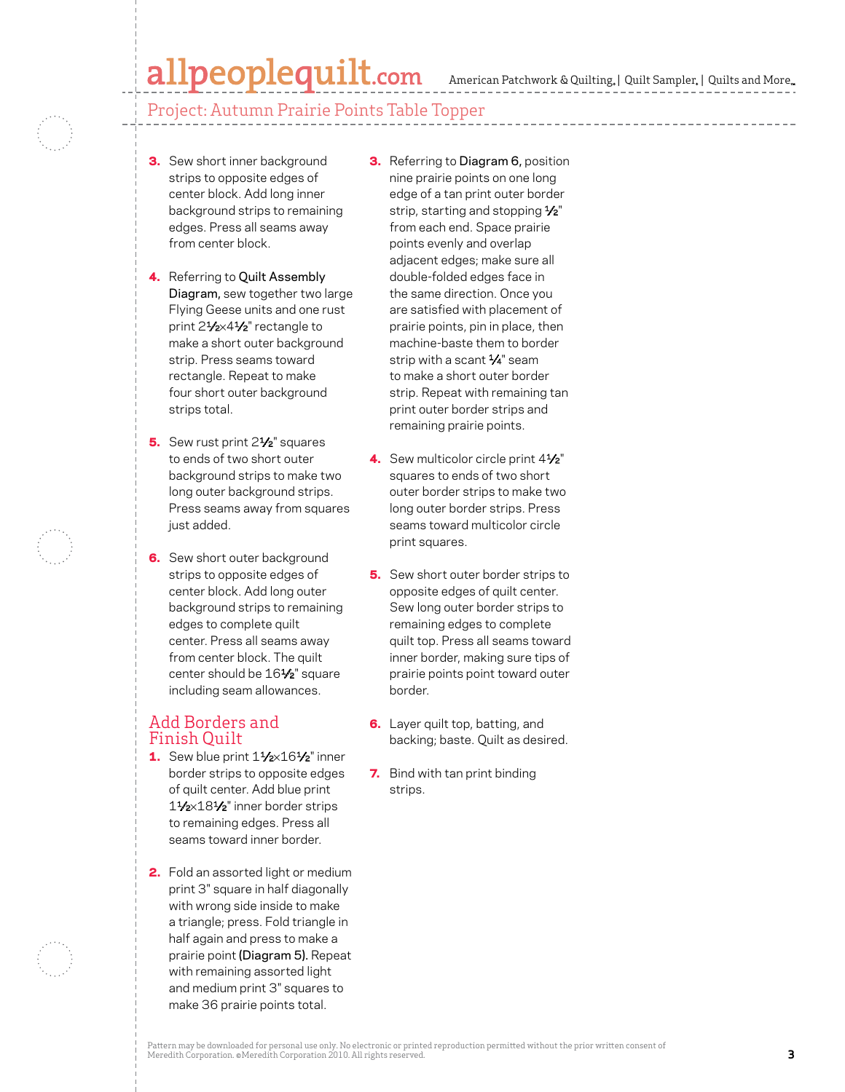# allpeoplequilt.com

American Patchwork & Quilting, | Quilt Sampler, | Quilts and More...

#### Project: Autumn Prairie Points Table Topper

- **3.** Sew short inner background strips to opposite edges of center block. Add long inner background strips to remaining edges. Press all seams away from center block.
- 4. Referring to Quilt Assembly Diagram, sew together two large Flying Geese units and one rust print 21/2×41/2" rectangle to make a short outer background strip. Press seams toward rectangle. Repeat to make four short outer background strips total.
- 5. Sew rust print 2<sup>1</sup>/<sub>2</sub>" squares to ends of two short outer background strips to make two long outer background strips. Press seams away from squares just added.
- 6. Sew short outer background strips to opposite edges of center block. Add long outer background strips to remaining edges to complete quilt center. Press all seams away from center block. The quilt center should be 16<sup>1/2"</sup> square including seam allowances.

#### Add Borders and Finish Quilt

- 1. Sew blue print  $1\frac{1}{2} \times 16\frac{1}{2}$ " inner border strips to opposite edges of quilt center. Add blue print 11⁄2×181⁄2" inner border strips to remaining edges. Press all seams toward inner border.
- 2. Fold an assorted light or medium print 3" square in half diagonally with wrong side inside to make a triangle; press. Fold triangle in half again and press to make a prairie point (Diagram 5). Repeat with remaining assorted light and medium print 3" squares to make 36 prairie points total.
- **3.** Referring to Diagram 6, position nine prairie points on one long edge of a tan print outer border strip, starting and stopping 1/2" from each end. Space prairie points evenly and overlap adjacent edges; make sure all double-folded edges face in the same direction. Once you are satisfied with placement of prairie points, pin in place, then machine-baste them to border strip with a scant  $\frac{1}{4}$ " seam to make a short outer border strip. Repeat with remaining tan print outer border strips and remaining prairie points.
- 4. Sew multicolor circle print  $4\frac{1}{2}$ " squares to ends of two short outer border strips to make two long outer border strips. Press seams toward multicolor circle print squares.
- **5.** Sew short outer border strips to opposite edges of quilt center. Sew long outer border strips to remaining edges to complete quilt top. Press all seams toward inner border, making sure tips of prairie points point toward outer border.
- **6.** Layer quilt top, batting, and backing; baste. Quilt as desired.
- 7. Bind with tan print binding strips.